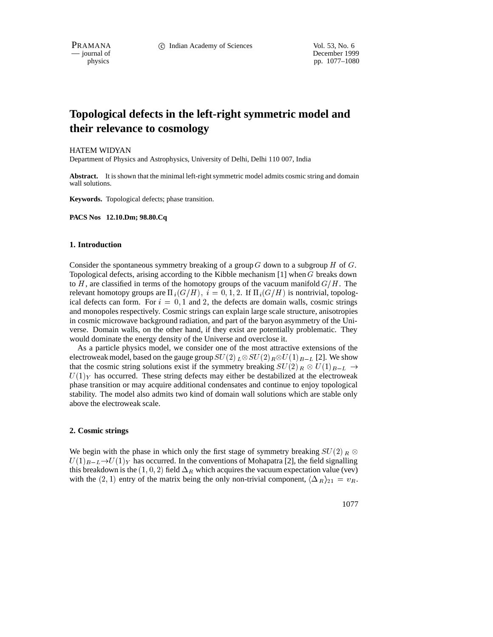PRAMANA 
<sup>C</sup> Indian Academy of Sciences 
<sup>Vol. 53, No. 6<br>
— journal of December 199</sup>

December 1999 physics pp. 1077–1080

# **Topological defects in the left-right symmetric model and their relevance to cosmology**

HATEM WIDYAN

Department of Physics and Astrophysics, University of Delhi, Delhi 110 007, India

**Abstract.** It is shown that the minimal left-right symmetric model admits cosmic string and domain wall solutions.

**Keywords.** Topological defects; phase transition.

**PACS Nos 12.10.Dm; 98.80.Cq**

## **1. Introduction**

Consider the spontaneous symmetry breaking of a group  $G$  down to a subgroup  $H$  of  $G$ . Topological defects, arising according to the Kibble mechanism  $[1]$  when G breaks down to H, are classified in terms of the homotopy groups of the vacuum manifold  $G/H$ . The relevant homotopy groups are  $\Pi_i(G/H)$ ,  $i = 0, 1, 2$ . If  $\Pi_i(G/H)$  is nontrivial, topological defects can form. For  $i = 0, 1$  and 2, the defects are domain walls, cosmic strings and monopoles respectively. Cosmic strings can explain large scale structure, anisotropies in cosmic microwave background radiation, and part of the baryon asymmetry of the Universe. Domain walls, on the other hand, if they exist are potentially problematic. They would dominate the energy density of the Universe and overclose it.

As a particle physics model, we consider one of the most attractive extensions of the electroweak model, based on the gauge group  $SU(2)_L \otimes SU(2)_R \otimes U(1)_{B-L}$  [2]. We show that the cosmic string solutions exist if the symmetry breaking  $SU(2)_R \otimes U(1)_{B-L} \rightarrow$  $U(1)_Y$  has occurred. These string defects may either be destabilized at the electroweak phase transition or may acquire additional condensates and continue to enjoy topological stability. The model also admits two kind of domain wall solutions which are stable only above the electroweak scale.

#### **2. Cosmic strings**

We begin with the phase in which only the first stage of symmetry breaking  $SU(2)$   $\mathbb{R}$  $U(1)_{B-L} \rightarrow U(1)_Y$  has occurred. In the conventions of Mohapatra [2], the field signalling this breakdown is the  $(1, 0, 2)$  field  $\Delta_R$  which acquires the vacuum expectation value (vev) with the (2, 1) entry of the matrix being the only non-trivial component,  $\langle \Delta_R \rangle_{21} = v_R$ .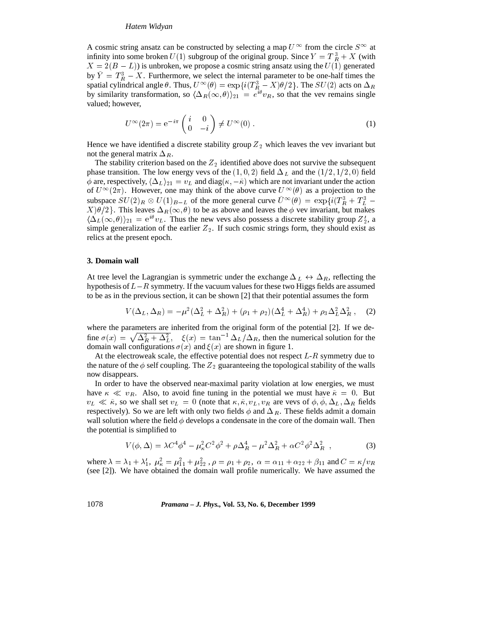## *Hatem Widyan*

A cosmic string ansatz can be constructed by selecting a map  $U^{\infty}$  from the circle  $S^{\infty}$  at infinity into some broken  $U(1)$  subgroup of the original group. Since  $Y = T_R^3 + X$  (with  $X = 2(B - L)$ ) is unbroken, we propose a cosmic string ansatz using the  $U(1)$  generated by  $Y = T_R^3 - X$ . Furthermore, we select the internal parameter to be one-half times the spatial cylindrical angle  $\theta$ . Thus,  $U^{\infty}(\theta) = \exp\{i(T^3_R - X)\theta/2\}$ . The  $SU(2)$  acts on  $\Delta_R$ by similarity transformation, so  $\langle \Delta_R(\infty, \theta) \rangle_{21} = e^{i\theta} v_R$ , so that the vev remains single valued; however,

$$
U^{\infty}(2\pi) = e^{-i\pi} \begin{pmatrix} i & 0\\ 0 & -i \end{pmatrix} \neq U^{\infty}(0).
$$
 (1)

Hence we have identified a discrete stability group  $Z_2$  which leaves the vev invariant but not the general matrix  $\Delta_R$ .

The stability criterion based on the  $Z_2$  identified above does not survive the subsequent phase transition. The low energy vevs of the  $(1, 0, 2)$  field  $\Delta_L$  and the  $(1/2, 1/2, 0)$  field  $\phi$  are, respectively,  $\langle \Delta_L \rangle_{21} = v_L$  and diag( $\kappa, -\tilde{\kappa}$ ) which are not invariant under the action of  $U^{\infty}(2\pi)$ . However, one may think of the above curve  $U^{\infty}(\theta)$  as a projection to the subspace  $SU(2)_R \otimes U(1)_{B-L}$  of the more general curve  $U^{\infty}(\theta) = \exp{i(T_A^3 + T_L^3 - T_A^2)}$  $X|\theta/2\}$ . This leaves  $\Delta_R(\infty, \theta)$  to be as above and leaves the  $\phi$  vev invariant, but makes  $\langle \Delta_L(\infty, \theta) \rangle_{21} = e^{i\theta} v_L$ . Thus the new vevs also possess a discrete stability group  $Z_2$ , a simple generalization of the earlier  $Z_2$ . If such cosmic strings form, they should exist as relics at the present epoch.

#### **3. Domain wall**

At tree level the Lagrangian is symmetric under the exchange  $\Delta_L \leftrightarrow \Delta_R$ , reflecting the hypothesis of  $L-R$  symmetry. If the vacuum values for these two Higgs fields are assumed to be as in the previous section, it can be shown [2] that their potential assumes the form

$$
V(\Delta_L, \Delta_R) = -\mu^2 (\Delta_L^2 + \Delta_R^2) + (\rho_1 + \rho_2)(\Delta_L^4 + \Delta_R^4) + \rho_3 \Delta_L^2 \Delta_R^2 , \quad (2)
$$

where the parameters are inherited from the original form of the potential [2]. If we define  $\sigma(x) = \sqrt{\Delta_R^2 + \Delta_L^2}$ ,  $\xi(x) = \tan^{-1} \Delta_L/\Delta_R$ , then the numerical solution for the domain wall configurations  $\sigma(x)$  and  $\xi(x)$  are shown in figure 1.

At the electroweak scale, the effective potential does not respect  $L-R$  symmetry due to the nature of the  $\phi$  self coupling. The  $Z_2$  guaranteeing the topological stability of the walls now disappears.

In order to have the observed near-maximal parity violation at low energies, we must have  $\kappa \ll v_R$ . Also, to avoid fine tuning in the potential we must have  $\tilde{\kappa} = 0$ . But  $v_L \ll \tilde{\kappa}$ , so we shall set  $v_L = 0$  (note that  $\kappa, \tilde{\kappa}, v_L, v_R$  are vevs of  $\phi, \phi, \Delta_L, \Delta_R$  fields respectively). So we are left with only two fields  $\phi$  and  $\Delta_R$ . These fields admit a domain wall solution where the field  $\phi$  develops a condensate in the core of the domain wall. Then the potential is simplified to

$$
V(\phi, \Delta) = \lambda C^4 \phi^4 - \mu_\kappa^2 C^2 \phi^2 + \rho \Delta_R^4 - \mu^2 \Delta_R^2 + \alpha C^2 \phi^2 \Delta_R^2 \tag{3}
$$

where  $\lambda = \lambda_1 + \lambda'_1$ ,  $\mu_\kappa^2 = \mu_{11}^2 + \mu_{22}^2$ ,  $\rho = \rho_1 + \rho_2$ ,  $\alpha = \alpha_{11} + \alpha_{22} + \beta_{11}$  and  $C = \kappa/v_R$ (see [2]). We have obtained the domain wall profile numerically. We have assumed the

1078 *Pramana – J. Phys.,* **Vol. 53, No. 6, December 1999**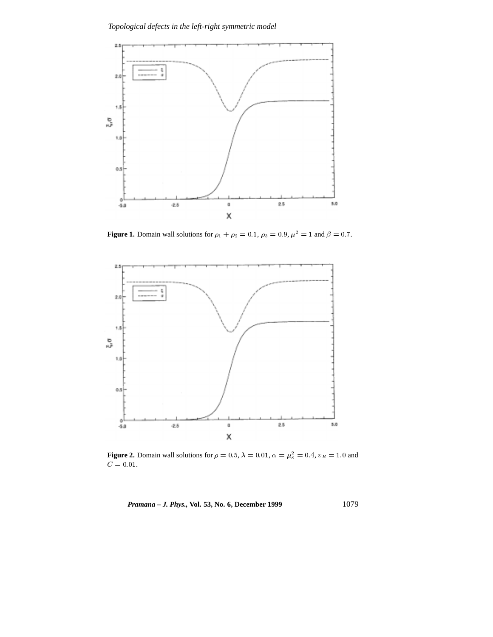

**Figure 1.** Domain wall solutions for  $\rho_1 + \rho_2 = 0.1$ ,  $\rho_3 = 0.9$ ,  $\mu^2 = 1$  and  $\beta = 0.7$ .



**Figure 2.** Domain wall solutions for  $\rho = 0.5$ ,  $\lambda = 0.01$ ,  $\alpha = \mu_{\kappa}^2 = 0.4$ ,  $v_R = 1.0$  and  $C$  = 0.01.

*Pramana – J. Phys., Vol.* 53, No. 6, December 1999 1079